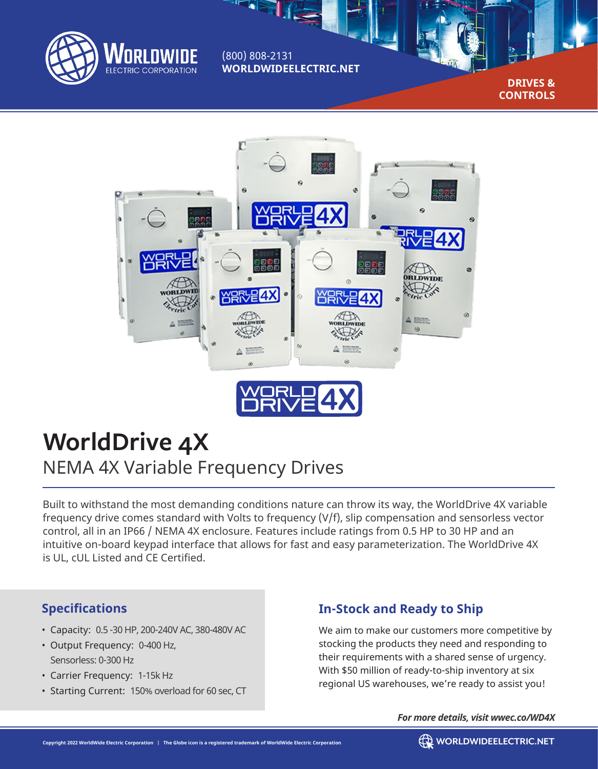

(800) 808-2131 **WORLDWIDEELECTRIC.NET**

> **DRIVES & CONTROLS**



# **WorldDrive 4X** NEMA 4X Variable Frequency Drives

Built to withstand the most demanding conditions nature can throw its way, the WorldDrive 4X variable frequency drive comes standard with Volts to frequency (V/f), slip compensation and sensorless vector control, all in an IP66 / NEMA 4X enclosure. Features include ratings from 0.5 HP to 30 HP and an intuitive on-board keypad interface that allows for fast and easy parameterization. The WorldDrive 4X is UL, cUL Listed and CE Certified.

### **Specifications**

- Capacity: 0.5 -30 HP, 200-240V AC, 380-480V AC
- Output Frequency: 0-400 Hz, Sensorless: 0-300 Hz
- Carrier Frequency: 1-15k Hz
- Starting Current: 150% overload for 60 sec, CT

## **In-Stock and Ready to Ship**

We aim to make our customers more competitive by stocking the products they need and responding to their requirements with a shared sense of urgency. With \$50 million of ready-to-ship inventory at six regional US warehouses, we're ready to assist you!

*For more details, visit wwec.co/WD4X*